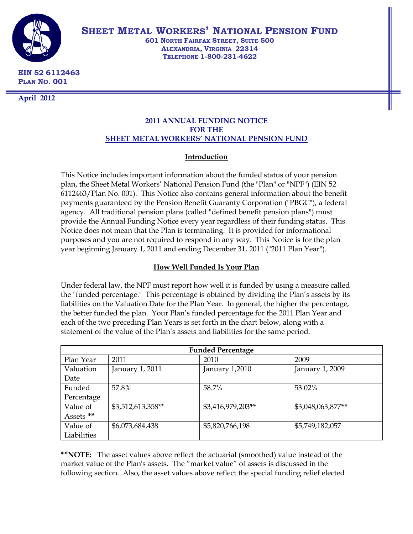

**SHEET METAL WORKERS' NATIONAL PENSION FUND**

**601 NORTH FAIRFAX STREET, SUITE 500 ALEXANDRIA, VIRGINIA 22314 TELEPHONE 1-800-231-4622**

**EIN 52 6112463 PLAN NO. 001**

**April 2012**

# **2011 ANNUAL FUNDING NOTICE FOR THE SHEET METAL WORKERS' NATIONAL PENSION FUND**

# **Introduction**

This Notice includes important information about the funded status of your pension plan, the Sheet Metal Workers' National Pension Fund (the "Plan" or "NPF") (EIN 52 6112463/Plan No. 001). This Notice also contains general information about the benefit payments guaranteed by the Pension Benefit Guaranty Corporation ("PBGC"), a federal agency. All traditional pension plans (called "defined benefit pension plans") must provide the Annual Funding Notice every year regardless of their funding status. This Notice does not mean that the Plan is terminating. It is provided for informational purposes and you are not required to respond in any way. This Notice is for the plan year beginning January 1, 2011 and ending December 31, 2011 ("2011 Plan Year").

# **How Well Funded Is Your Plan**

Under federal law, the NPF must report how well it is funded by using a measure called the "funded percentage." This percentage is obtained by dividing the Plan's assets by its liabilities on the Valuation Date for the Plan Year. In general, the higher the percentage, the better funded the plan. Your Plan's funded percentage for the 2011 Plan Year and each of the two preceding Plan Years is set forth in the chart below, along with a statement of the value of the Plan's assets and liabilities for the same period.

| <b>Funded Percentage</b> |                   |                   |                   |  |  |
|--------------------------|-------------------|-------------------|-------------------|--|--|
| Plan Year                | 2011              | 2010              | 2009              |  |  |
| Valuation                | January 1, 2011   | January 1,2010    | January 1, 2009   |  |  |
| Date                     |                   |                   |                   |  |  |
| Funded                   | 57.8%             | 58.7%             | 53.02%            |  |  |
| Percentage               |                   |                   |                   |  |  |
| Value of                 | \$3,512,613,358** | \$3,416,979,203** | \$3,048,063,877** |  |  |
| Assets <sup>**</sup>     |                   |                   |                   |  |  |
| Value of                 | \$6,073,684,438   | \$5,820,766,198   | \$5,749,182,057   |  |  |
| Liabilities              |                   |                   |                   |  |  |

**\*\*NOTE:** The asset values above reflect the actuarial (smoothed) value instead of the market value of the Plan's assets. The "market value" of assets is discussed in the following section. Also, the asset values above reflect the special funding relief elected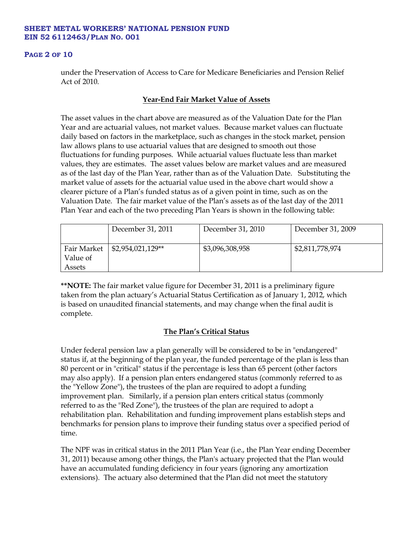#### **PAGE 2 OF 10**

under the Preservation of Access to Care for Medicare Beneficiaries and Pension Relief Act of 2010.

# **Year-End Fair Market Value of Assets**

The asset values in the chart above are measured as of the Valuation Date for the Plan Year and are actuarial values, not market values. Because market values can fluctuate daily based on factors in the marketplace, such as changes in the stock market, pension law allows plans to use actuarial values that are designed to smooth out those fluctuations for funding purposes. While actuarial values fluctuate less than market values, they are estimates. The asset values below are market values and are measured as of the last day of the Plan Year, rather than as of the Valuation Date. Substituting the market value of assets for the actuarial value used in the above chart would show a clearer picture of a Plan's funded status as of a given point in time, such as on the Valuation Date. The fair market value of the Plan's assets as of the last day of the 2011 Plan Year and each of the two preceding Plan Years is shown in the following table:

|                                   | December 31, 2011  | December 31, 2010 | December 31, 2009 |
|-----------------------------------|--------------------|-------------------|-------------------|
| Fair Market<br>Value of<br>Assets | $$2,954,021,129**$ | \$3,096,308,958   | \$2,811,778,974   |

**\*\*NOTE:** The fair market value figure for December 31, 2011 is a preliminary figure taken from the plan actuary's Actuarial Status Certification as of January 1, 2012, which is based on unaudited financial statements, and may change when the final audit is complete.

# **The Plan's Critical Status**

Under federal pension law a plan generally will be considered to be in "endangered" status if, at the beginning of the plan year, the funded percentage of the plan is less than 80 percent or in "critical" status if the percentage is less than 65 percent (other factors may also apply). If a pension plan enters endangered status (commonly referred to as the "Yellow Zone"), the trustees of the plan are required to adopt a funding improvement plan. Similarly, if a pension plan enters critical status (commonly referred to as the "Red Zone"), the trustees of the plan are required to adopt a rehabilitation plan. Rehabilitation and funding improvement plans establish steps and benchmarks for pension plans to improve their funding status over a specified period of time.

The NPF was in critical status in the 2011 Plan Year (i.e., the Plan Year ending December 31, 2011) because among other things, the Plan's actuary projected that the Plan would have an accumulated funding deficiency in four years (ignoring any amortization extensions). The actuary also determined that the Plan did not meet the statutory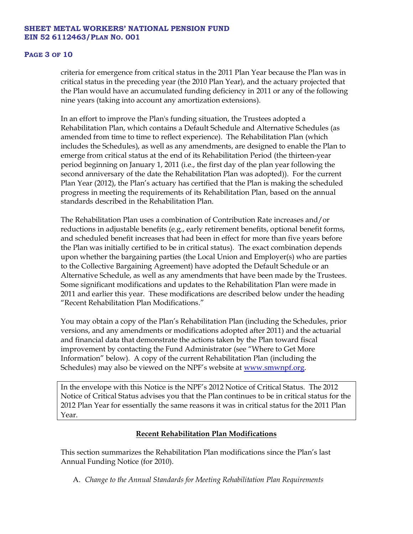#### **PAGE 3 OF 10**

criteria for emergence from critical status in the 2011 Plan Year because the Plan was in critical status in the preceding year (the 2010 Plan Year), and the actuary projected that the Plan would have an accumulated funding deficiency in 2011 or any of the following nine years (taking into account any amortization extensions).

In an effort to improve the Plan's funding situation, the Trustees adopted a Rehabilitation Plan, which contains a Default Schedule and Alternative Schedules (as amended from time to time to reflect experience). The Rehabilitation Plan (which includes the Schedules), as well as any amendments, are designed to enable the Plan to emerge from critical status at the end of its Rehabilitation Period (the thirteen-year period beginning on January 1, 2011 (i.e., the first day of the plan year following the second anniversary of the date the Rehabilitation Plan was adopted)). For the current Plan Year (2012), the Plan's actuary has certified that the Plan is making the scheduled progress in meeting the requirements of its Rehabilitation Plan, based on the annual standards described in the Rehabilitation Plan.

The Rehabilitation Plan uses a combination of Contribution Rate increases and/or reductions in adjustable benefits (e.g., early retirement benefits, optional benefit forms, and scheduled benefit increases that had been in effect for more than five years before the Plan was initially certified to be in critical status). The exact combination depends upon whether the bargaining parties (the Local Union and Employer(s) who are parties to the Collective Bargaining Agreement) have adopted the Default Schedule or an Alternative Schedule, as well as any amendments that have been made by the Trustees. Some significant modifications and updates to the Rehabilitation Plan were made in 2011 and earlier this year. These modifications are described below under the heading "Recent Rehabilitation Plan Modifications."

You may obtain a copy of the Plan's Rehabilitation Plan (including the Schedules, prior versions, and any amendments or modifications adopted after 2011) and the actuarial and financial data that demonstrate the actions taken by the Plan toward fiscal improvement by contacting the Fund Administrator (see "Where to Get More Information" below). A copy of the current Rehabilitation Plan (including the Schedules) may also be viewed on the NPF's website at <u>www.smwnpf.org</u>.

In the envelope with this Notice is the NPF's 2012 Notice of Critical Status. The 2012 Notice of Critical Status advises you that the Plan continues to be in critical status for the 2012 Plan Year for essentially the same reasons it was in critical status for the 2011 Plan Year.

# **Recent Rehabilitation Plan Modifications**

This section summarizes the Rehabilitation Plan modifications since the Plan's last Annual Funding Notice (for 2010).

A. *Change to the Annual Standards for Meeting Rehabilitation Plan Requirements*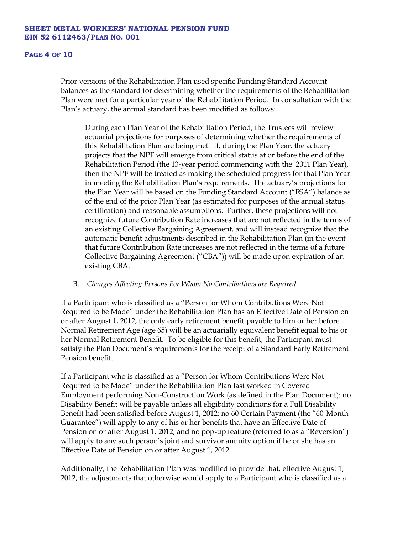#### **PAGE 4 OF 10**

Prior versions of the Rehabilitation Plan used specific Funding Standard Account balances as the standard for determining whether the requirements of the Rehabilitation Plan were met for a particular year of the Rehabilitation Period. In consultation with the Plan's actuary, the annual standard has been modified as follows:

During each Plan Year of the Rehabilitation Period, the Trustees will review actuarial projections for purposes of determining whether the requirements of this Rehabilitation Plan are being met. If, during the Plan Year, the actuary projects that the NPF will emerge from critical status at or before the end of the Rehabilitation Period (the 13-year period commencing with the 2011 Plan Year), then the NPF will be treated as making the scheduled progress for that Plan Year in meeting the Rehabilitation Plan's requirements. The actuary's projections for the Plan Year will be based on the Funding Standard Account ("FSA") balance as of the end of the prior Plan Year (as estimated for purposes of the annual status certification) and reasonable assumptions. Further, these projections will not recognize future Contribution Rate increases that are not reflected in the terms of an existing Collective Bargaining Agreement, and will instead recognize that the automatic benefit adjustments described in the Rehabilitation Plan (in the event that future Contribution Rate increases are not reflected in the terms of a future Collective Bargaining Agreement ("CBA")) will be made upon expiration of an existing CBA.

## B. *Changes Affecting Persons For Whom No Contributions are Required*

If a Participant who is classified as a "Person for Whom Contributions Were Not Required to be Made" under the Rehabilitation Plan has an Effective Date of Pension on or after August 1, 2012, the only early retirement benefit payable to him or her before Normal Retirement Age (age 65) will be an actuarially equivalent benefit equal to his or her Normal Retirement Benefit. To be eligible for this benefit, the Participant must satisfy the Plan Document's requirements for the receipt of a Standard Early Retirement Pension benefit.

If a Participant who is classified as a "Person for Whom Contributions Were Not Required to be Made" under the Rehabilitation Plan last worked in Covered Employment performing Non-Construction Work (as defined in the Plan Document): no Disability Benefit will be payable unless all eligibility conditions for a Full Disability Benefit had been satisfied before August 1, 2012; no 60 Certain Payment (the "60-Month Guarantee") will apply to any of his or her benefits that have an Effective Date of Pension on or after August 1, 2012; and no pop-up feature (referred to as a "Reversion") will apply to any such person's joint and survivor annuity option if he or she has an Effective Date of Pension on or after August 1, 2012.

Additionally, the Rehabilitation Plan was modified to provide that, effective August 1, 2012, the adjustments that otherwise would apply to a Participant who is classified as a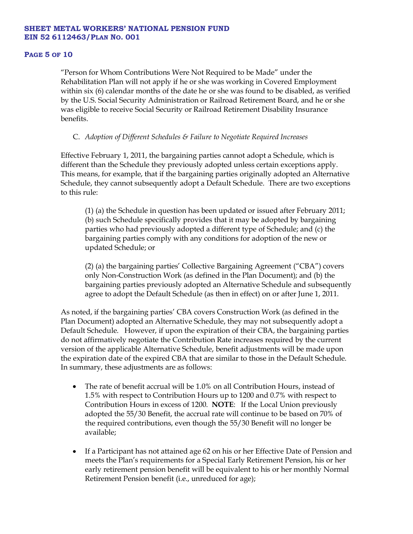#### **PAGE 5 OF 10**

"Person for Whom Contributions Were Not Required to be Made" under the Rehabilitation Plan will not apply if he or she was working in Covered Employment within six (6) calendar months of the date he or she was found to be disabled, as verified by the U.S. Social Security Administration or Railroad Retirement Board, and he or she was eligible to receive Social Security or Railroad Retirement Disability Insurance benefits.

# C. *Adoption of Different Schedules & Failure to Negotiate Required Increases*

Effective February 1, 2011, the bargaining parties cannot adopt a Schedule, which is different than the Schedule they previously adopted unless certain exceptions apply. This means, for example, that if the bargaining parties originally adopted an Alternative Schedule, they cannot subsequently adopt a Default Schedule. There are two exceptions to this rule:

(1) (a) the Schedule in question has been updated or issued after February 2011; (b) such Schedule specifically provides that it may be adopted by bargaining parties who had previously adopted a different type of Schedule; and (c) the bargaining parties comply with any conditions for adoption of the new or updated Schedule; or

(2) (a) the bargaining parties' Collective Bargaining Agreement ("CBA") covers only Non-Construction Work (as defined in the Plan Document); and (b) the bargaining parties previously adopted an Alternative Schedule and subsequently agree to adopt the Default Schedule (as then in effect) on or after June 1, 2011.

As noted, if the bargaining parties' CBA covers Construction Work (as defined in the Plan Document) adopted an Alternative Schedule, they may not subsequently adopt a Default Schedule. However, if upon the expiration of their CBA, the bargaining parties do not affirmatively negotiate the Contribution Rate increases required by the current version of the applicable Alternative Schedule, benefit adjustments will be made upon the expiration date of the expired CBA that are similar to those in the Default Schedule. In summary, these adjustments are as follows:

- The rate of benefit accrual will be 1.0% on all Contribution Hours, instead of 1.5% with respect to Contribution Hours up to 1200 and 0.7% with respect to Contribution Hours in excess of 1200. **NOTE**: If the Local Union previously adopted the 55/30 Benefit, the accrual rate will continue to be based on 70% of the required contributions, even though the 55/30 Benefit will no longer be available;
- If a Participant has not attained age 62 on his or her Effective Date of Pension and meets the Plan's requirements for a Special Early Retirement Pension, his or her early retirement pension benefit will be equivalent to his or her monthly Normal Retirement Pension benefit (i.e., unreduced for age);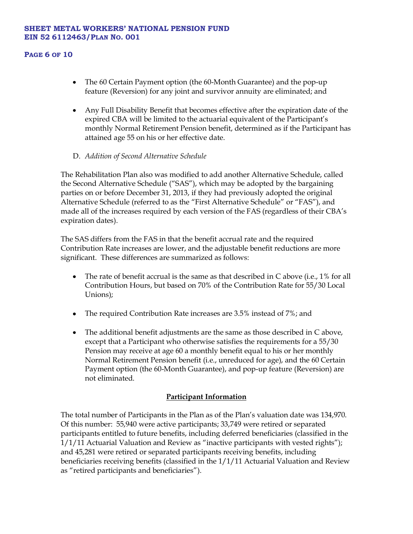### **PAGE 6 OF 10**

- The 60 Certain Payment option (the 60-Month Guarantee) and the pop-up feature (Reversion) for any joint and survivor annuity are eliminated; and
- Any Full Disability Benefit that becomes effective after the expiration date of the expired CBA will be limited to the actuarial equivalent of the Participant's monthly Normal Retirement Pension benefit, determined as if the Participant has attained age 55 on his or her effective date.
- D. *Addition of Second Alternative Schedule*

The Rehabilitation Plan also was modified to add another Alternative Schedule, called the Second Alternative Schedule ("SAS"), which may be adopted by the bargaining parties on or before December 31, 2013, if they had previously adopted the original Alternative Schedule (referred to as the "First Alternative Schedule" or "FAS"), and made all of the increases required by each version of the FAS (regardless of their CBA's expiration dates).

The SAS differs from the FAS in that the benefit accrual rate and the required Contribution Rate increases are lower, and the adjustable benefit reductions are more significant. These differences are summarized as follows:

- The rate of benefit accrual is the same as that described in C above (i.e., 1% for all  $\bullet$ Contribution Hours, but based on 70% of the Contribution Rate for 55/30 Local Unions);
- The required Contribution Rate increases are 3.5% instead of 7%; and
- The additional benefit adjustments are the same as those described in C above, except that a Participant who otherwise satisfies the requirements for a 55/30 Pension may receive at age 60 a monthly benefit equal to his or her monthly Normal Retirement Pension benefit (i.e., unreduced for age), and the 60 Certain Payment option (the 60-Month Guarantee), and pop-up feature (Reversion) are not eliminated.

# **Participant Information**

The total number of Participants in the Plan as of the Plan's valuation date was 134,970. Of this number: 55,940 were active participants; 33,749 were retired or separated participants entitled to future benefits, including deferred beneficiaries (classified in the 1/1/11 Actuarial Valuation and Review as "inactive participants with vested rights"); and 45,281 were retired or separated participants receiving benefits, including beneficiaries receiving benefits (classified in the 1/1/11 Actuarial Valuation and Review as "retired participants and beneficiaries").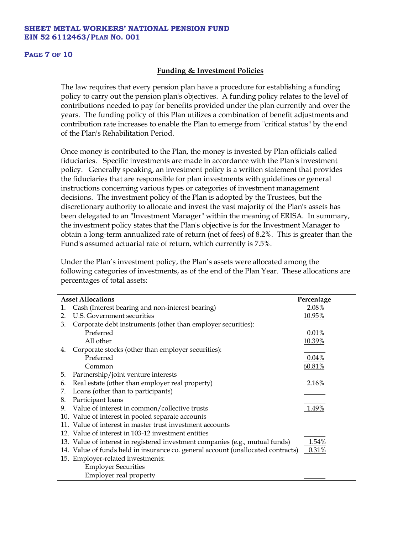#### **PAGE 7 OF 10**

# **Funding & Investment Policies**

The law requires that every pension plan have a procedure for establishing a funding policy to carry out the pension plan's objectives. A funding policy relates to the level of contributions needed to pay for benefits provided under the plan currently and over the years. The funding policy of this Plan utilizes a combination of benefit adjustments and contribution rate increases to enable the Plan to emerge from "critical status" by the end of the Plan's Rehabilitation Period.

Once money is contributed to the Plan, the money is invested by Plan officials called fiduciaries. Specific investments are made in accordance with the Plan's investment policy. Generally speaking, an investment policy is a written statement that provides the fiduciaries that are responsible for plan investments with guidelines or general instructions concerning various types or categories of investment management decisions. The investment policy of the Plan is adopted by the Trustees, but the discretionary authority to allocate and invest the vast majority of the Plan's assets has been delegated to an "Investment Manager" within the meaning of ERISA. In summary, the investment policy states that the Plan's objective is for the Investment Manager to obtain a long-term annualized rate of return (net of fees) of 8.2%. This is greater than the Fund's assumed actuarial rate of return, which currently is 7.5%.

Under the Plan's investment policy, the Plan's assets were allocated among the following categories of investments, as of the end of the Plan Year. These allocations are percentages of total assets:

| <b>Asset Allocations</b> | Percentage                                                                       |          |
|--------------------------|----------------------------------------------------------------------------------|----------|
| 1.                       | Cash (Interest bearing and non-interest bearing)                                 | 2.08%    |
| 2.                       | U.S. Government securities                                                       | 10.95%   |
| 3.                       | Corporate debt instruments (other than employer securities):                     |          |
|                          | Preferred                                                                        | $0.01\%$ |
|                          | All other                                                                        | 10.39%   |
| 4.                       | Corporate stocks (other than employer securities):                               |          |
|                          | Preferred                                                                        | $0.04\%$ |
|                          | Common                                                                           | 60.81%   |
| 5.                       | Partnership/joint venture interests                                              |          |
| 6.                       | Real estate (other than employer real property)                                  | $2.16\%$ |
| 7.                       | Loans (other than to participants)                                               |          |
| 8.                       | Participant loans                                                                |          |
| 9.                       | Value of interest in common/collective trusts                                    | $1.49\%$ |
|                          | 10. Value of interest in pooled separate accounts                                |          |
|                          | 11. Value of interest in master trust investment accounts                        |          |
|                          | 12. Value of interest in 103-12 investment entities                              |          |
|                          | 13. Value of interest in registered investment companies (e.g., mutual funds)    | 1.54%    |
|                          | 14. Value of funds held in insurance co. general account (unallocated contracts) | 0.31%    |
|                          | 15. Employer-related investments:                                                |          |
|                          | <b>Employer Securities</b>                                                       |          |
|                          | Employer real property                                                           |          |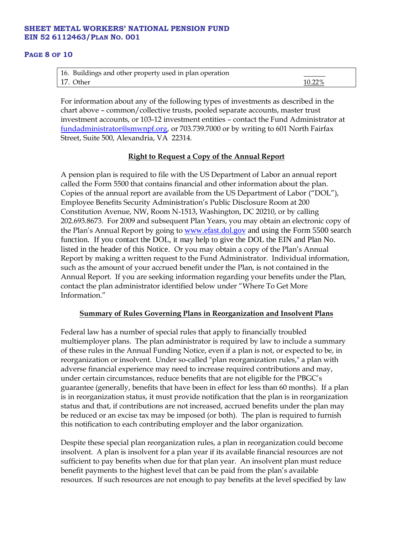#### **PAGE 8 OF 10**

| 16. Buildings and other property used in plan operation |        |
|---------------------------------------------------------|--------|
| 17. Other                                               | 10.22% |

For information about any of the following types of investments as described in the chart above – common/collective trusts, pooled separate accounts, master trust investment accounts, or 103-12 investment entities – contact the Fund Administrator at [fundadministrator@smwnpf.org,](mailto:fundadministrator@smwnpf.org) or 703.739.7000 or by writing to 601 North Fairfax Street, Suite 500, Alexandria, VA 22314.

# **Right to Request a Copy of the Annual Report**

A pension plan is required to file with the US Department of Labor an annual report called the Form 5500 that contains financial and other information about the plan. Copies of the annual report are available from the US Department of Labor ("DOL"), Employee Benefits Security Administration's Public Disclosure Room at 200 Constitution Avenue, NW, Room N-1513, Washington, DC 20210, or by calling 202.693.8673. For 2009 and subsequent Plan Years, you may obtain an electronic copy of the Plan's Annual Report by going to [www.efast.dol.gov](http://www.efast.dol.gov/) and using the Form 5500 search function. If you contact the DOL, it may help to give the DOL the EIN and Plan No. listed in the header of this Notice. Or you may obtain a copy of the Plan's Annual Report by making a written request to the Fund Administrator. Individual information, such as the amount of your accrued benefit under the Plan, is not contained in the Annual Report. If you are seeking information regarding your benefits under the Plan, contact the plan administrator identified below under "Where To Get More Information."

# **Summary of Rules Governing Plans in Reorganization and Insolvent Plans**

Federal law has a number of special rules that apply to financially troubled multiemployer plans. The plan administrator is required by law to include a summary of these rules in the Annual Funding Notice, even if a plan is not, or expected to be, in reorganization or insolvent. Under so-called "plan reorganization rules," a plan with adverse financial experience may need to increase required contributions and may, under certain circumstances, reduce benefits that are not eligible for the PBGC's guarantee (generally, benefits that have been in effect for less than 60 months). If a plan is in reorganization status, it must provide notification that the plan is in reorganization status and that, if contributions are not increased, accrued benefits under the plan may be reduced or an excise tax may be imposed (or both). The plan is required to furnish this notification to each contributing employer and the labor organization.

Despite these special plan reorganization rules, a plan in reorganization could become insolvent. A plan is insolvent for a plan year if its available financial resources are not sufficient to pay benefits when due for that plan year. An insolvent plan must reduce benefit payments to the highest level that can be paid from the plan's available resources. If such resources are not enough to pay benefits at the level specified by law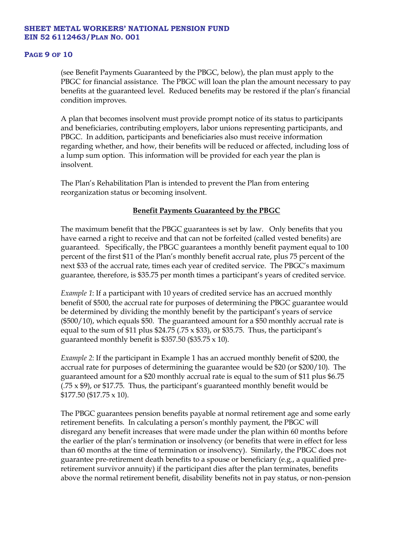#### **PAGE 9 OF 10**

(see Benefit Payments Guaranteed by the PBGC, below), the plan must apply to the PBGC for financial assistance. The PBGC will loan the plan the amount necessary to pay benefits at the guaranteed level. Reduced benefits may be restored if the plan's financial condition improves.

A plan that becomes insolvent must provide prompt notice of its status to participants and beneficiaries, contributing employers, labor unions representing participants, and PBGC. In addition, participants and beneficiaries also must receive information regarding whether, and how, their benefits will be reduced or affected, including loss of a lump sum option. This information will be provided for each year the plan is insolvent.

The Plan's Rehabilitation Plan is intended to prevent the Plan from entering reorganization status or becoming insolvent.

# **Benefit Payments Guaranteed by the PBGC**

The maximum benefit that the PBGC guarantees is set by law. Only benefits that you have earned a right to receive and that can not be forfeited (called vested benefits) are guaranteed. Specifically, the PBGC guarantees a monthly benefit payment equal to 100 percent of the first \$11 of the Plan's monthly benefit accrual rate, plus 75 percent of the next \$33 of the accrual rate, times each year of credited service. The PBGC's maximum guarantee, therefore, is \$35.75 per month times a participant's years of credited service.

*Example 1*: If a participant with 10 years of credited service has an accrued monthly benefit of \$500, the accrual rate for purposes of determining the PBGC guarantee would be determined by dividing the monthly benefit by the participant's years of service (\$500/10), which equals \$50. The guaranteed amount for a \$50 monthly accrual rate is equal to the sum of  $$11$  plus  $$24.75$  (.75 x  $$33$ ), or  $$35.75$ . Thus, the participant's guaranteed monthly benefit is \$357.50 (\$35.75  $\times$  10).

*Example 2*: If the participant in Example 1 has an accrued monthly benefit of \$200, the accrual rate for purposes of determining the guarantee would be \$20 (or \$200/10). The guaranteed amount for a \$20 monthly accrual rate is equal to the sum of \$11 plus \$6.75  $(.75 \times $9)$ , or \$17.75. Thus, the participant's guaranteed monthly benefit would be \$177.50 (\$17.75 x 10).

The PBGC guarantees pension benefits payable at normal retirement age and some early retirement benefits. In calculating a person's monthly payment, the PBGC will disregard any benefit increases that were made under the plan within 60 months before the earlier of the plan's termination or insolvency (or benefits that were in effect for less than 60 months at the time of termination or insolvency). Similarly, the PBGC does not guarantee pre-retirement death benefits to a spouse or beneficiary (e.g., a qualified preretirement survivor annuity) if the participant dies after the plan terminates, benefits above the normal retirement benefit, disability benefits not in pay status, or non-pension